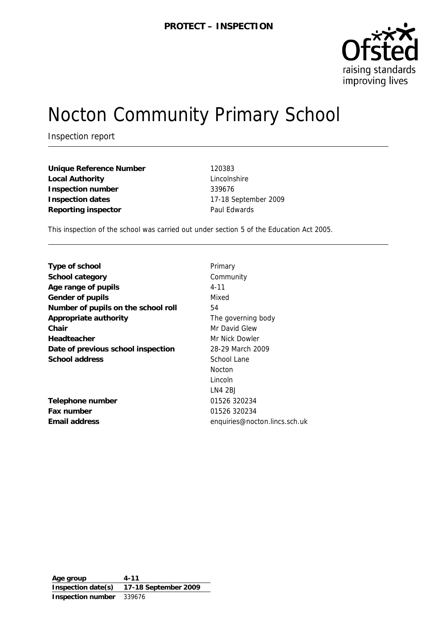

# Nocton Community Primary School

Inspection report

**Unique Reference Number** 120383 **Local Authority** Lincolnshire **Inspection number** 339676 **Inspection dates** 17-18 September 2009 Reporting inspector **Paul Edwards** 

This inspection of the school was carried out under section 5 of the Education Act 2005.

| Type of school                      | Primary                       |
|-------------------------------------|-------------------------------|
| School category                     | Community                     |
| Age range of pupils                 | $4 - 11$                      |
| Gender of pupils                    | Mixed                         |
| Number of pupils on the school roll | 54                            |
| Appropriate authority               | The governing body            |
| Chair                               | Mr David Glew                 |
| Headteacher                         | Mr Nick Dowler                |
| Date of previous school inspection  | 28-29 March 2009              |
| School address                      | School Lane                   |
|                                     | <b>Nocton</b>                 |
|                                     | Lincoln                       |
|                                     | LN4 2BJ                       |
| Telephone number                    | 01526 320234                  |
| Fax number                          | 01526 320234                  |
| Email address                       | enquiries@nocton.lincs.sch.uk |

**Age group 4-11 Inspection date(s) 17-18 September 2009 Inspection number** 339676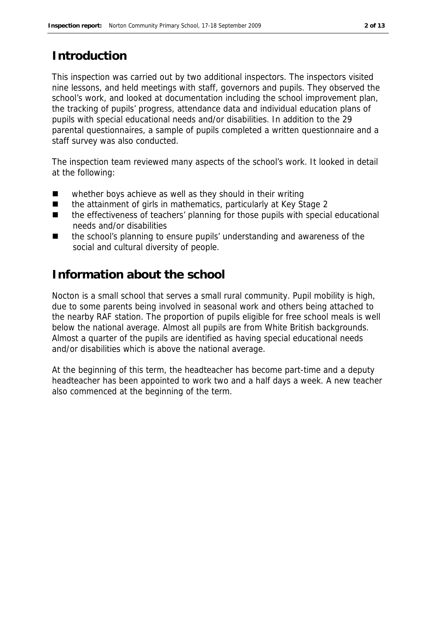# **Introduction**

This inspection was carried out by two additional inspectors. The inspectors visited nine lessons, and held meetings with staff, governors and pupils. They observed the school's work, and looked at documentation including the school improvement plan, the tracking of pupils' progress, attendance data and individual education plans of pupils with special educational needs and/or disabilities. In addition to the 29 parental questionnaires, a sample of pupils completed a written questionnaire and a staff survey was also conducted.

The inspection team reviewed many aspects of the school's work. It looked in detail at the following:

- whether boys achieve as well as they should in their writing
- the attainment of girls in mathematics, particularly at Key Stage 2
- the effectiveness of teachers' planning for those pupils with special educational needs and/or disabilities
- the school's planning to ensure pupils' understanding and awareness of the social and cultural diversity of people.

# **Information about the school**

Nocton is a small school that serves a small rural community. Pupil mobility is high, due to some parents being involved in seasonal work and others being attached to the nearby RAF station. The proportion of pupils eligible for free school meals is well below the national average. Almost all pupils are from White British backgrounds. Almost a quarter of the pupils are identified as having special educational needs and/or disabilities which is above the national average.

At the beginning of this term, the headteacher has become part-time and a deputy headteacher has been appointed to work two and a half days a week. A new teacher also commenced at the beginning of the term.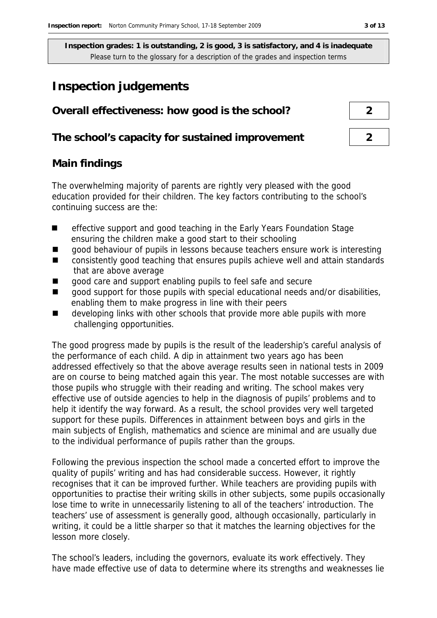# **Inspection judgements**

| Overall effectiveness: how good is the school?  |  |
|-------------------------------------------------|--|
| The school's capacity for sustained improvement |  |

## **Main findings**

The overwhelming majority of parents are rightly very pleased with the good education provided for their children. The key factors contributing to the school's continuing success are the:

- effective support and good teaching in the Early Years Foundation Stage ensuring the children make a good start to their schooling
- good behaviour of pupils in lessons because teachers ensure work is interesting
- consistently good teaching that ensures pupils achieve well and attain standards that are above average
- qood care and support enabling pupils to feel safe and secure
- good support for those pupils with special educational needs and/or disabilities, enabling them to make progress in line with their peers
- $\blacksquare$  developing links with other schools that provide more able pupils with more challenging opportunities.

The good progress made by pupils is the result of the leadership's careful analysis of the performance of each child. A dip in attainment two years ago has been addressed effectively so that the above average results seen in national tests in 2009 are on course to being matched again this year. The most notable successes are with those pupils who struggle with their reading and writing. The school makes very effective use of outside agencies to help in the diagnosis of pupils' problems and to help it identify the way forward. As a result, the school provides very well targeted support for these pupils. Differences in attainment between boys and girls in the main subjects of English, mathematics and science are minimal and are usually due to the individual performance of pupils rather than the groups.

Following the previous inspection the school made a concerted effort to improve the quality of pupils' writing and has had considerable success. However, it rightly recognises that it can be improved further. While teachers are providing pupils with opportunities to practise their writing skills in other subjects, some pupils occasionally lose time to write in unnecessarily listening to all of the teachers' introduction. The teachers' use of assessment is generally good, although occasionally, particularly in writing, it could be a little sharper so that it matches the learning objectives for the lesson more closely.

The school's leaders, including the governors, evaluate its work effectively. They have made effective use of data to determine where its strengths and weaknesses lie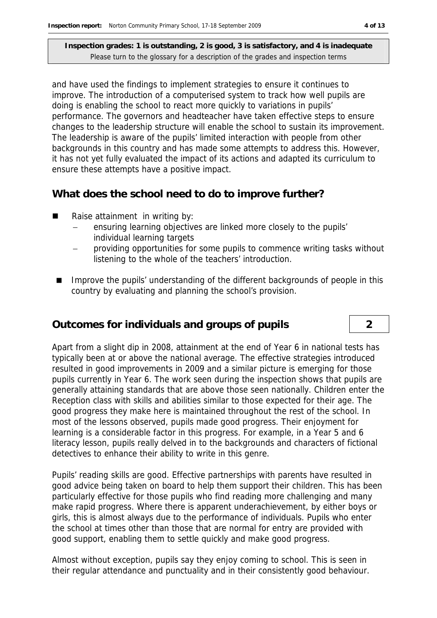and have used the findings to implement strategies to ensure it continues to improve. The introduction of a computerised system to track how well pupils are doing is enabling the school to react more quickly to variations in pupils' performance. The governors and headteacher have taken effective steps to ensure changes to the leadership structure will enable the school to sustain its improvement. The leadership is aware of the pupils' limited interaction with people from other backgrounds in this country and has made some attempts to address this. However, it has not yet fully evaluated the impact of its actions and adapted its curriculum to ensure these attempts have a positive impact.

**What does the school need to do to improve further?**

- Raise attainment in writing by:
	- ensuring learning objectives are linked more closely to the pupils' individual learning targets
	- providing opportunities for some pupils to commence writing tasks without listening to the whole of the teachers' introduction.
- Improve the pupils' understanding of the different backgrounds of people in this country by evaluating and planning the school's provision.

## **Outcomes for individuals and groups of pupils 2**

Apart from a slight dip in 2008, attainment at the end of Year 6 in national tests has typically been at or above the national average. The effective strategies introduced resulted in good improvements in 2009 and a similar picture is emerging for those pupils currently in Year 6. The work seen during the inspection shows that pupils are generally attaining standards that are above those seen nationally. Children enter the Reception class with skills and abilities similar to those expected for their age. The good progress they make here is maintained throughout the rest of the school. In most of the lessons observed, pupils made good progress. Their enjoyment for learning is a considerable factor in this progress. For example, in a Year 5 and 6 literacy lesson, pupils really delved in to the backgrounds and characters of fictional detectives to enhance their ability to write in this genre.

Pupils' reading skills are good. Effective partnerships with parents have resulted in good advice being taken on board to help them support their children. This has been particularly effective for those pupils who find reading more challenging and many make rapid progress. Where there is apparent underachievement, by either boys or girls, this is almost always due to the performance of individuals. Pupils who enter the school at times other than those that are normal for entry are provided with good support, enabling them to settle quickly and make good progress.

Almost without exception, pupils say they enjoy coming to school. This is seen in their regular attendance and punctuality and in their consistently good behaviour.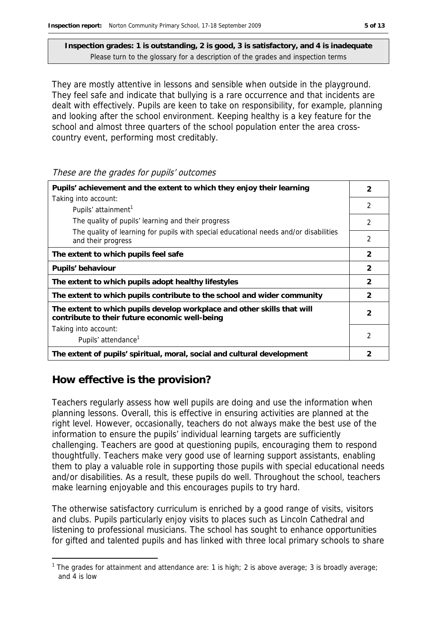They are mostly attentive in lessons and sensible when outside in the playground. They feel safe and indicate that bullying is a rare occurrence and that incidents are dealt with effectively. Pupils are keen to take on responsibility, for example, planning and looking after the school environment. Keeping healthy is a key feature for the school and almost three quarters of the school population enter the area crosscountry event, performing most creditably.

These are the grades for pupils' outcomes

| Pupils' achievement and the extent to which they enjoy their learning                                                     |                |
|---------------------------------------------------------------------------------------------------------------------------|----------------|
| Taking into account:                                                                                                      |                |
| Pupils' attainment <sup>1</sup>                                                                                           | $\mathfrak{D}$ |
| The quality of pupils' learning and their progress                                                                        | $\mathfrak{D}$ |
| The quality of learning for pupils with special educational needs and/or disabilities<br>and their progress               | $\mathfrak{D}$ |
| The extent to which pupils feel safe                                                                                      | $\mathcal{P}$  |
| Pupils' behaviour                                                                                                         | $\mathcal{P}$  |
| The extent to which pupils adopt healthy lifestyles                                                                       | $\overline{2}$ |
| The extent to which pupils contribute to the school and wider community                                                   | $\mathcal{P}$  |
| The extent to which pupils develop workplace and other skills that will<br>contribute to their future economic well-being |                |
| Taking into account:                                                                                                      |                |
| Pupils' attendance <sup>1</sup>                                                                                           |                |
| The extent of pupils' spiritual, moral, social and cultural development                                                   | 2              |

## **How effective is the provision?**

-

Teachers regularly assess how well pupils are doing and use the information when planning lessons. Overall, this is effective in ensuring activities are planned at the right level. However, occasionally, teachers do not always make the best use of the information to ensure the pupils' individual learning targets are sufficiently challenging. Teachers are good at questioning pupils, encouraging them to respond thoughtfully. Teachers make very good use of learning support assistants, enabling them to play a valuable role in supporting those pupils with special educational needs and/or disabilities. As a result, these pupils do well. Throughout the school, teachers make learning enjoyable and this encourages pupils to try hard.

The otherwise satisfactory curriculum is enriched by a good range of visits, visitors and clubs. Pupils particularly enjoy visits to places such as Lincoln Cathedral and listening to professional musicians. The school has sought to enhance opportunities for gifted and talented pupils and has linked with three local primary schools to share

<sup>&</sup>lt;sup>1</sup> The grades for attainment and attendance are: 1 is high; 2 is above average; 3 is broadly average; and 4 is low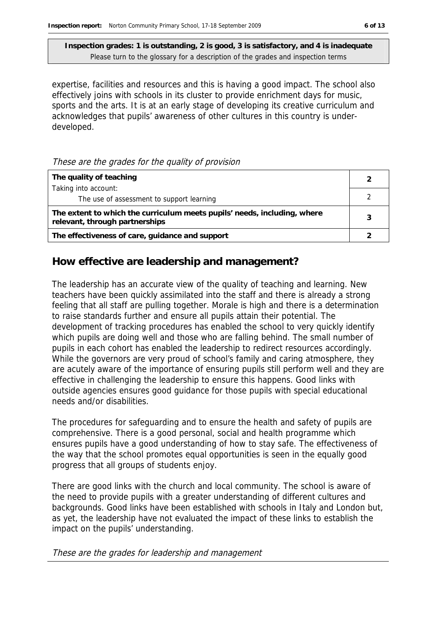expertise, facilities and resources and this is having a good impact. The school also effectively joins with schools in its cluster to provide enrichment days for music, sports and the arts. It is at an early stage of developing its creative curriculum and acknowledges that pupils' awareness of other cultures in this country is underdeveloped.

#### These are the grades for the quality of provision

| The quality of teaching                                                                                    |  |
|------------------------------------------------------------------------------------------------------------|--|
| Taking into account:                                                                                       |  |
| The use of assessment to support learning                                                                  |  |
| The extent to which the curriculum meets pupils' needs, including, where<br>relevant, through partnerships |  |
| The effectiveness of care, guidance and support                                                            |  |

### **How effective are leadership and management?**

The leadership has an accurate view of the quality of teaching and learning. New teachers have been quickly assimilated into the staff and there is already a strong feeling that all staff are pulling together. Morale is high and there is a determination to raise standards further and ensure all pupils attain their potential. The development of tracking procedures has enabled the school to very quickly identify which pupils are doing well and those who are falling behind. The small number of pupils in each cohort has enabled the leadership to redirect resources accordingly. While the governors are very proud of school's family and caring atmosphere, they are acutely aware of the importance of ensuring pupils still perform well and they are effective in challenging the leadership to ensure this happens. Good links with outside agencies ensures good guidance for those pupils with special educational needs and/or disabilities.

The procedures for safeguarding and to ensure the health and safety of pupils are comprehensive. There is a good personal, social and health programme which ensures pupils have a good understanding of how to stay safe. The effectiveness of the way that the school promotes equal opportunities is seen in the equally good progress that all groups of students enjoy.

There are good links with the church and local community. The school is aware of the need to provide pupils with a greater understanding of different cultures and backgrounds. Good links have been established with schools in Italy and London but, as yet, the leadership have not evaluated the impact of these links to establish the impact on the pupils' understanding.

These are the grades for leadership and management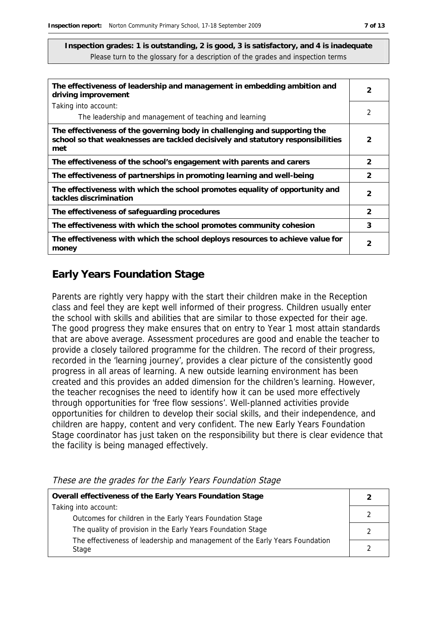| The effectiveness of leadership and management in embedding ambition and<br>driving improvement                                                                     |               |
|---------------------------------------------------------------------------------------------------------------------------------------------------------------------|---------------|
| Taking into account:                                                                                                                                                |               |
| The leadership and management of teaching and learning                                                                                                              | 2             |
| The effectiveness of the governing body in challenging and supporting the<br>school so that weaknesses are tackled decisively and statutory responsibilities<br>met | $\mathcal{P}$ |
| The effectiveness of the school's engagement with parents and carers                                                                                                | 2             |
| The effectiveness of partnerships in promoting learning and well-being                                                                                              | $\mathcal{P}$ |
| The effectiveness with which the school promotes equality of opportunity and<br>tackles discrimination                                                              | $\mathcal{P}$ |
| The effectiveness of safeguarding procedures                                                                                                                        | 2             |
| The effectiveness with which the school promotes community cohesion                                                                                                 | 3             |
| The effectiveness with which the school deploys resources to achieve value for<br>money                                                                             | $\mathcal{P}$ |

# **Early Years Foundation Stage**

Parents are rightly very happy with the start their children make in the Reception class and feel they are kept well informed of their progress. Children usually enter the school with skills and abilities that are similar to those expected for their age. The good progress they make ensures that on entry to Year 1 most attain standards that are above average. Assessment procedures are good and enable the teacher to provide a closely tailored programme for the children. The record of their progress, recorded in the 'learning journey', provides a clear picture of the consistently good progress in all areas of learning. A new outside learning environment has been created and this provides an added dimension for the children's learning. However, the teacher recognises the need to identify how it can be used more effectively through opportunities for 'free flow sessions'. Well-planned activities provide opportunities for children to develop their social skills, and their independence, and children are happy, content and very confident. The new Early Years Foundation Stage coordinator has just taken on the responsibility but there is clear evidence that the facility is being managed effectively.

These are the grades for the Early Years Foundation Stage

| Overall effectiveness of the Early Years Foundation Stage                    |  |
|------------------------------------------------------------------------------|--|
| Taking into account:                                                         |  |
| Outcomes for children in the Early Years Foundation Stage                    |  |
| The quality of provision in the Early Years Foundation Stage                 |  |
| The effectiveness of leadership and management of the Early Years Foundation |  |
| Stage                                                                        |  |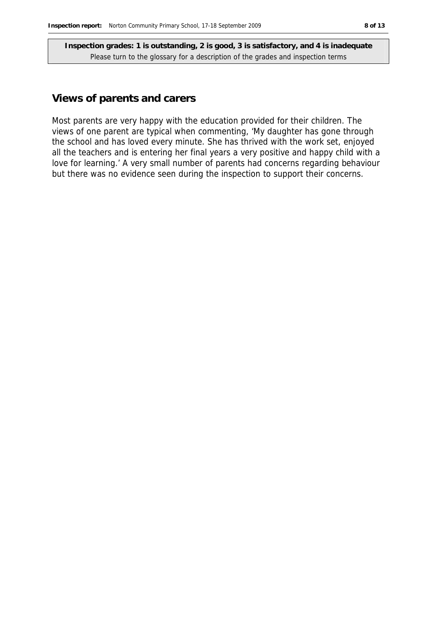### **Views of parents and carers**

Most parents are very happy with the education provided for their children. The views of one parent are typical when commenting, 'My daughter has gone through the school and has loved every minute. She has thrived with the work set, enjoyed all the teachers and is entering her final years a very positive and happy child with a love for learning.' A very small number of parents had concerns regarding behaviour but there was no evidence seen during the inspection to support their concerns.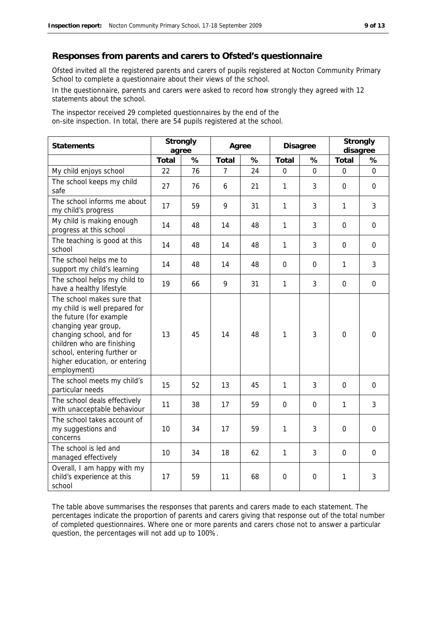#### **Responses from parents and carers to Ofsted's questionnaire**

Ofsted invited all the registered parents and carers of pupils registered at Nocton Community Primary School to complete a questionnaire about their views of the school.

In the questionnaire, parents and carers were asked to record how strongly they agreed with 12 statements about the school.

The inspector received 29 completed questionnaires by the end of the on-site inspection. In total, there are 54 pupils registered at the school.

| Statements                                                                                                                                                                                                                                              | Strongly<br>agree |    | Agree |    | Disagree     |             | Strongly<br>disagree |             |
|---------------------------------------------------------------------------------------------------------------------------------------------------------------------------------------------------------------------------------------------------------|-------------------|----|-------|----|--------------|-------------|----------------------|-------------|
|                                                                                                                                                                                                                                                         | Total             | %  | Total | %  | Total        | %           | Total                | %           |
| My child enjoys school                                                                                                                                                                                                                                  | 22                | 76 | 7     | 24 | $\mathbf 0$  | 0           | $\mathbf 0$          | $\mathbf 0$ |
| The school keeps my child<br>safe                                                                                                                                                                                                                       | 27                | 76 | 6     | 21 | 1            | 3           | $\mathbf 0$          | $\mathbf 0$ |
| The school informs me about<br>my child's progress                                                                                                                                                                                                      | 17                | 59 | 9     | 31 | 1            | 3           | $\mathbf{1}$         | 3           |
| My child is making enough<br>progress at this school                                                                                                                                                                                                    | 14                | 48 | 14    | 48 | 1            | 3           | $\mathbf 0$          | $\mathbf 0$ |
| The teaching is good at this<br>school                                                                                                                                                                                                                  | 14                | 48 | 14    | 48 | 1            | 3           | 0                    | $\mathbf 0$ |
| The school helps me to<br>support my child's learning                                                                                                                                                                                                   | 14                | 48 | 14    | 48 | $\Omega$     | $\Omega$    | $\mathbf{1}$         | 3           |
| The school helps my child to<br>have a healthy lifestyle                                                                                                                                                                                                | 19                | 66 | 9     | 31 | $\mathbf{1}$ | 3           | $\overline{0}$       | $\mathbf 0$ |
| The school makes sure that<br>my child is well prepared for<br>the future (for example<br>changing year group,<br>changing school, and for<br>children who are finishing<br>school, entering further or<br>higher education, or entering<br>employment) | 13                | 45 | 14    | 48 | 1            | 3           | $\Omega$             | $\mathbf 0$ |
| The school meets my child's<br>particular needs                                                                                                                                                                                                         | 15                | 52 | 13    | 45 | 1            | 3           | 0                    | $\mathbf 0$ |
| The school deals effectively<br>with unacceptable behaviour                                                                                                                                                                                             | 11                | 38 | 17    | 59 | $\Omega$     | $\Omega$    | 1                    | 3           |
| The school takes account of<br>my suggestions and<br>concerns                                                                                                                                                                                           | 10                | 34 | 17    | 59 | 1            | 3           | $\boldsymbol{0}$     | $\mathbf 0$ |
| The school is led and<br>managed effectively                                                                                                                                                                                                            | 10                | 34 | 18    | 62 | 1            | 3           | $\mathbf 0$          | $\mathbf 0$ |
| Overall, I am happy with my<br>child's experience at this<br>school                                                                                                                                                                                     | 17                | 59 | 11    | 68 | 0            | $\mathbf 0$ | 1                    | 3           |

The table above summarises the responses that parents and carers made to each statement. The percentages indicate the proportion of parents and carers giving that response out of the total number of completed questionnaires. Where one or more parents and carers chose not to answer a particular question, the percentages will not add up to 100%.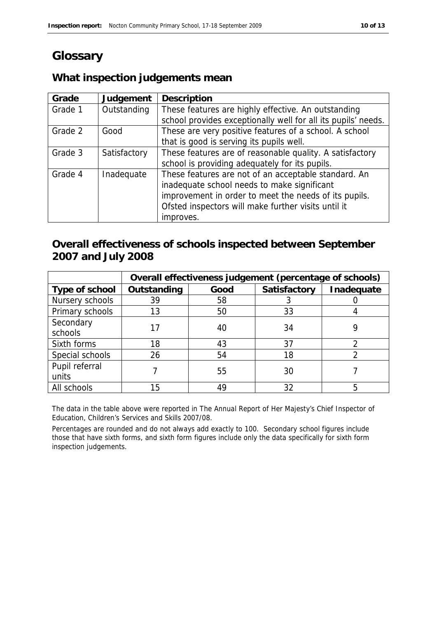# **Glossary**

# **What inspection judgements mean**

| Grade   | Judgement    | Description                                                   |
|---------|--------------|---------------------------------------------------------------|
| Grade 1 | Outstanding  | These features are highly effective. An outstanding           |
|         |              | school provides exceptionally well for all its pupils' needs. |
| Grade 2 | Good         | These are very positive features of a school. A school        |
|         |              | that is good is serving its pupils well.                      |
| Grade 3 | Satisfactory | These features are of reasonable quality. A satisfactory      |
|         |              | school is providing adequately for its pupils.                |
| Grade 4 | Inadequate   | These features are not of an acceptable standard. An          |
|         |              | inadequate school needs to make significant                   |
|         |              | improvement in order to meet the needs of its pupils.         |
|         |              | Ofsted inspectors will make further visits until it           |
|         |              | improves.                                                     |

## **Overall effectiveness of schools inspected between September 2007 and July 2008**

|                 | Overall effectiveness judgement (percentage of schools) |      |              |            |  |
|-----------------|---------------------------------------------------------|------|--------------|------------|--|
| Type of school  | Outstanding                                             | Good | Satisfactory | Inadequate |  |
| Nursery schools | 39                                                      | 58   |              |            |  |
| Primary schools | 13                                                      | 50   | 33           |            |  |
| Secondary       |                                                         |      | 34           |            |  |
| schools         |                                                         | 40   |              |            |  |
| Sixth forms     | 18                                                      | 43   | 37           |            |  |
| Special schools | 26                                                      | 54   | 18           |            |  |
| Pupil referral  |                                                         |      | 30           |            |  |
| units           |                                                         | 55   |              |            |  |
| All schools     | 15                                                      | 49   | 32           |            |  |

The data in the table above were reported in The Annual Report of Her Majesty's Chief Inspector of Education, Children's Services and Skills 2007/08.

Percentages are rounded and do not always add exactly to 100. Secondary school figures include those that have sixth forms, and sixth form figures include only the data specifically for sixth form inspection judgements.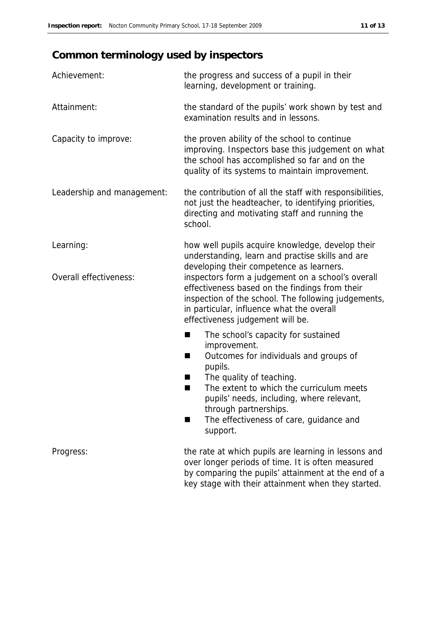# **Common terminology used by inspectors**

| Achievement:               | the progress and success of a pupil in their<br>learning, development or training.                                                                                                                                                          |
|----------------------------|---------------------------------------------------------------------------------------------------------------------------------------------------------------------------------------------------------------------------------------------|
| Attainment:                | the standard of the pupils' work shown by test and<br>examination results and in lessons.                                                                                                                                                   |
| Capacity to improve:       | the proven ability of the school to continue<br>improving. Inspectors base this judgement on what<br>the school has accomplished so far and on the<br>quality of its systems to maintain improvement.                                       |
| Leadership and management: | the contribution of all the staff with responsibilities,<br>not just the headteacher, to identifying priorities,<br>directing and motivating staff and running the<br>school.                                                               |
| Learning:                  | how well pupils acquire knowledge, develop their<br>understanding, learn and practise skills and are<br>developing their competence as learners.                                                                                            |
| Overall effectiveness:     | inspectors form a judgement on a school's overall<br>effectiveness based on the findings from their<br>inspection of the school. The following judgements,<br>in particular, influence what the overall<br>effectiveness judgement will be. |
|                            | The school's capacity for sustained<br>■                                                                                                                                                                                                    |
|                            | improvement.<br>Outcomes for individuals and groups of<br>■<br>pupils.                                                                                                                                                                      |
|                            | The quality of teaching.<br>H<br>The extent to which the curriculum meets<br>■<br>pupils' needs, including, where relevant,                                                                                                                 |
|                            | through partnerships.<br>The effectiveness of care, guidance and<br>support.                                                                                                                                                                |
| Progress:                  | the rate at which pupils are learning in lessons and<br>over longer periods of time. It is often measured<br>by comparing the pupils' attainment at the end of a                                                                            |

key stage with their attainment when they started.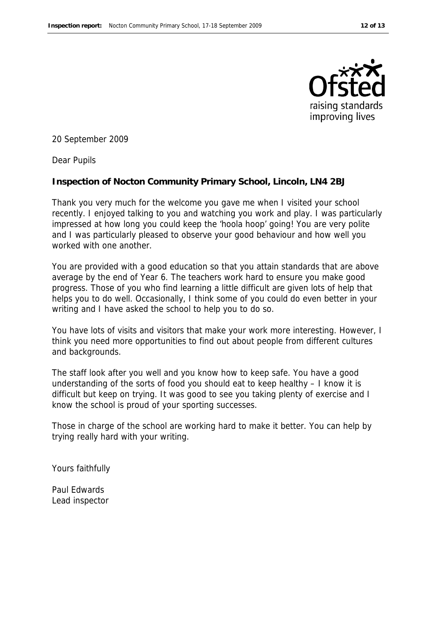

20 September 2009

Dear Pupils

**Inspection of Nocton Community Primary School, Lincoln, LN4 2BJ**

Thank you very much for the welcome you gave me when I visited your school recently. I enjoyed talking to you and watching you work and play. I was particularly impressed at how long you could keep the 'hoola hoop' going! You are very polite and I was particularly pleased to observe your good behaviour and how well you worked with one another.

You are provided with a good education so that you attain standards that are above average by the end of Year 6. The teachers work hard to ensure you make good progress. Those of you who find learning a little difficult are given lots of help that helps you to do well. Occasionally, I think some of you could do even better in your writing and I have asked the school to help you to do so.

You have lots of visits and visitors that make your work more interesting. However, I think you need more opportunities to find out about people from different cultures and backgrounds.

The staff look after you well and you know how to keep safe. You have a good understanding of the sorts of food you should eat to keep healthy – I know it is difficult but keep on trying. It was good to see you taking plenty of exercise and I know the school is proud of your sporting successes.

Those in charge of the school are working hard to make it better. You can help by trying really hard with your writing.

Yours faithfully

Paul Edwards Lead inspector